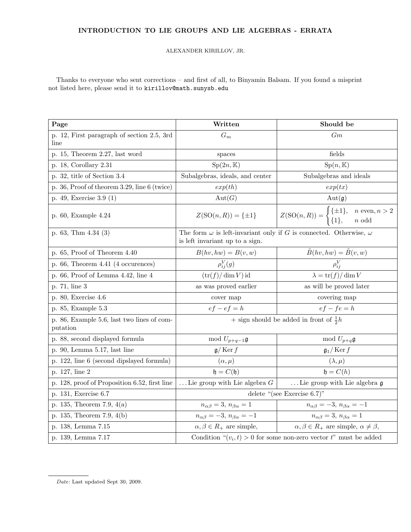## INTRODUCTION TO LIE GROUPS AND LIE ALGEBRAS - ERRATA

## ALEXANDER KIRILLOV, JR.

Thanks to everyone who sent corrections – and first of all, to Binyamin Balsam. If you found a misprint not listed here, please send it to kirillov@math.sunysb.edu

| Page                                                   | Written                                                                                                            | Should be                                                                                                                                               |
|--------------------------------------------------------|--------------------------------------------------------------------------------------------------------------------|---------------------------------------------------------------------------------------------------------------------------------------------------------|
| p. 12, First paragraph of section 2.5, 3rd<br>line     | $G_m$                                                                                                              | Gm                                                                                                                                                      |
| p. 15, Theorem $2.27$ , last word                      | spaces                                                                                                             | fields                                                                                                                                                  |
| p. 18, Corollary 2.31                                  | $Sp(2n,\mathbb{K})$                                                                                                | $\mathrm{Sp}(n,\mathbb{K})$                                                                                                                             |
| p. 32, title of Section 3.4                            | Subalgebras, ideals, and center                                                                                    | Subalgebras and ideals                                                                                                                                  |
| 36, Proof of theorem 3.29, line 6 (twice)<br>D.        | exp(th)                                                                                                            | exp(tx)                                                                                                                                                 |
| p. 49, Exercise 3.9 (1)                                | Aut(G)                                                                                                             | Aut(g)                                                                                                                                                  |
| p. 60, Example 4.24                                    |                                                                                                                    | $Z(\text{SO}(n,R)) = \{\pm 1\} \hspace{1cm} Z(\text{SO}(n,R)) = \begin{cases} \{\pm 1\}, & n \text{ even}, n > 2 \\ \{1\}, & n \text{ odd} \end{cases}$ |
| p. 63, Thm $4.34(3)$                                   | The form $\omega$ is left-invariant only if G is connected. Otherwise, $\omega$<br>is left invariant up to a sign. |                                                                                                                                                         |
| p. $65$ , Proof of Theorem $4.40$                      | $B(hv,hw) = B(v,w)$                                                                                                |                                                                                                                                                         |
| p. $66$ , Theorem $4.41$ (4 occurences)                | $\rho_{ij}^V(g)$                                                                                                   | $\frac{\tilde{B}(hv, hw) = \tilde{B}(v, w)}{\rho_{ij}^{V}}$                                                                                             |
| p. $66$ , Proof of Lemma $4.42$ , line $4$             | $(\text{tr}(f)/\dim V)$ id                                                                                         | $\lambda = \text{tr}(f)/\dim V$                                                                                                                         |
| p. 71, line 3                                          | as was proved earlier                                                                                              | as will be proved later                                                                                                                                 |
| p. 80, Exercise 4.6                                    | cover map                                                                                                          | covering map                                                                                                                                            |
| p. 85, Example 5.3                                     | $ef - ef = h$                                                                                                      | $ef - fe = h$                                                                                                                                           |
| p. 86, Example 5.6, last two lines of com-<br>putation | + sign should be added in front of $\frac{1}{2}h$                                                                  |                                                                                                                                                         |
| p. 88, second displayed formula                        | mod $U_{p+q-1}$ g                                                                                                  | mod $U_{p+q}$ g                                                                                                                                         |
| p. 90, Lemma 5.17, last line                           | $\mathfrak{g}/\operatorname{Ker} f$                                                                                | $\mathfrak{g}_1/\operatorname{Ker} f$                                                                                                                   |
| p. 122, line 6 (second dipslayed formula)              | $(\alpha,\mu)$                                                                                                     | $(\lambda, \mu)$                                                                                                                                        |
| p. 127, line 2                                         | $\mathfrak{h}=C(\mathfrak{h})$                                                                                     | $\mathfrak{h}=C(h)$                                                                                                                                     |
| p. 128, proof of Proposition 6.52, first line          | Lie group with Lie algebra $G$                                                                                     | Lie group with Lie algebra $\mathfrak g$                                                                                                                |
| p. 131, Exercise 6.7                                   | delete "(see Exercise $6.7$ )"                                                                                     |                                                                                                                                                         |
| p. 135, Theorem 7.9, $4(a)$                            | $n_{\alpha\beta}=3, n_{\beta\alpha}=1$                                                                             | $n_{\alpha\beta}=-3, n_{\beta\alpha}=-1$                                                                                                                |
| p. 135, Theorem 7.9, 4(b)                              | $n_{\alpha\beta}=-3, n_{\beta\alpha}=-1$                                                                           | $n_{\alpha\beta}=3, n_{\beta\alpha}=1$                                                                                                                  |
| p. 138, Lemma 7.15                                     | $\alpha, \beta \in R_+$ are simple,                                                                                | $\alpha, \beta \in R_+$ are simple, $\alpha \neq \beta$ ,                                                                                               |
| p. 139, Lemma 7.17                                     | Condition $\mathcal{L}(v_i, t) > 0$ for some non-zero vector $t^m$ must be added                                   |                                                                                                                                                         |

Date: Last updated Sept 30, 2009.